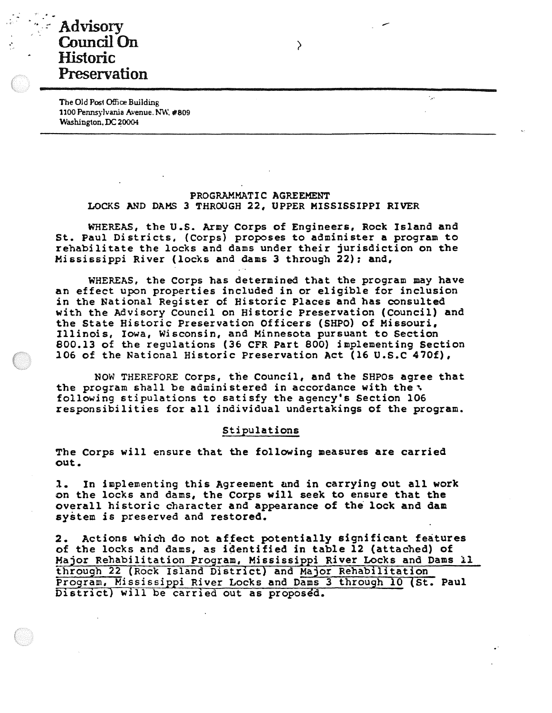# ..  $-$  Advisory Council<sup>On</sup> Historic Preservation

..

The Old Post Office Building 1100 Pennsylvania Avenue. NW, #809 Washington. OC 20004

# PROGRAMMATIC AGREEMENT LOCKS AND DAMS 3 THROUGH 22, UPPER **MISSISSIPPI** RIVER

WHEREAS, the U.S. Army Corps of Engineers, Rock Island and St. Paul Districts, (Corps) proposes to administer a program to rehabilitate the locks and dams under their jurisdiction on the Mississippi River (locks and dams 3 through 22): and,

WHEREAS, the Corps has determined that the program may have an effect upon properties included in or eligible for inclusion in the National Register of Historic Places and has consulted with the Advisory Council on Historic Preservation (Council) and the State Historic Preservation Officers (SHPO) of Missouri. Illinois, Iowa, Wisconsin, and Minnesota pursuant to Section 800.13 of the regulations (36 CFR Part 800) implementing Section 106 of the National Historic Preservation Act (16 U.S.C 470f),

NOW THEREFORE Corps, the Council, and the SHPOs agree that the program shall be administered in accordance with the  $\cdot$ following stipulations to satisfy the agency's Section 106 responsibilities for all individual undertakings of the program.

### Stipulations

The Corps will ensure that the following measures are carried out.

l. In implementing this Agreement and in carrying out all work on the locks and dams, the corps will seek to ensure that the overall historic character and appearance of the lock and dam system is preserved and restored.

2. Actions which do not affect potentially significant features of the locks and dams, as identified in table 12 (attached) of Major Rehabilitation Program, Mississippi River Locks and Dams 11 through 22 (Rock Island District) and Major Rehabilitation Program, Mississippi River Locks and Dams 3 through 10 (St. Paul District) will be carried out as proposed.

--

 $\epsilon_{\rm B}$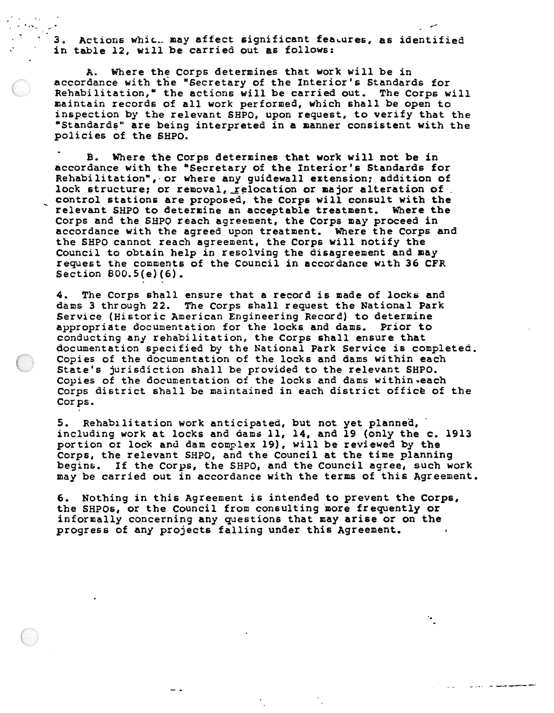3. Actions whic. may affect significant features, as identified in table 12, will be carried out as follows:

... ··" ,-

A. Where the Corps determines that work will be in accordance with the "Secretary of the Interior's Standards for Rehabilitation,<sup>\*</sup> the actions will be carried out. The Corps will maintain records of all work performed, which shall be open to inspection by the relevant SHPO, upon request, to verify that the "Standards" are being interpreted in a manner consistent with the policies of the SHPO.

B. Where the corps determines that work will not be in accordance with the "Secretary of the Interior's Standards for Rehabilitation", or where any guidewall extension; addition of lock structure; or removal, relocation or major alteration of . control stations are proposed, the Corps will consult with the relevant SHPO to determine an acceptable treatment. Where the Corps and the SHPO reach agreement, the Corps may proceed in accordance with the agreed upon treatment. Where the Corps and the SHPO cannot reach agreement, the Corps will notify the Council to obtain help in resolving the disagreement and may request the comments of the Council in accordance with 36 CFR Section 800.5(e)(6).

4. The Corps shall ensure that a record is made of locks and dams 3 through 22. The corps shall request the National Park Service (Historic American Engineering Record) to determine appropriate documentation for the locks. and dams. Prior to conducting any rehabilitation, the Corps shall ensure that documentation specified by the National Park Service is completed. Copies of the documentation of the locks and dams within each State's jurisdiction shall be provided to the relevant SHPO. Copies of the documentation of the locks and dams within~each Corps district shall be maintained in each district office of the Corps.

5. Rehabilitation work anticipated, but not yet planned,<br>including work at locks and dams 11, 14, and 19 (only the c. 1913 portion or lock and dam complex 19), will be reviewed by the Corps, the relevant SHPO, and the Council at the time planning begins. If the Corps, the SHPO, and the Council agree, such work may be carried out in accordance with the terms of this Agreement.

6. Nothing in this Agreement is intended to prevent the Corps, the SHPOs, or the Council from consulting more frequently or informally concerning any questions that may arise or on the progress of any projects falling under this Agreement.

..

-·-· ------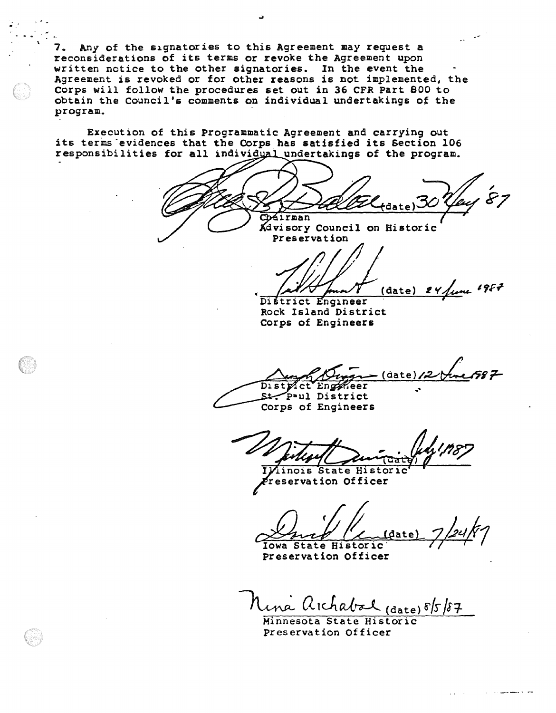Any of the signatories to this Agreement may request a 7. reconsiderations of its terms or revoke the Agreement upon written notice to the other signatories. In the event the Agreement is revoked or for other reasons is not implemented, the Corps will follow the procedures set out in 36 CFR Part 800 to obtain the Council's comments on individual undertakings of the program.

Execution of this Programmatic Agreement and carrying out its terms evidences that the Corps has satisfied its Section 106 responsibilities for all individual undertakings of the program.

(date) Chairman Advisory Council on Historic Preservation

(date) 24 fune 1987 District Engineer

Rock Island District Corps of Engineers

 $\cdot$  (date)/ $\tilde{\mathcal{L}}$ Distylet Engeleer Stepaul District Corps of Engineers

linois State Historic

reservation Officer

date Iowa State Historic

Preservation Officer

Una lischabal (date) 8/5/87

Minnesota State Historic Preservation Officer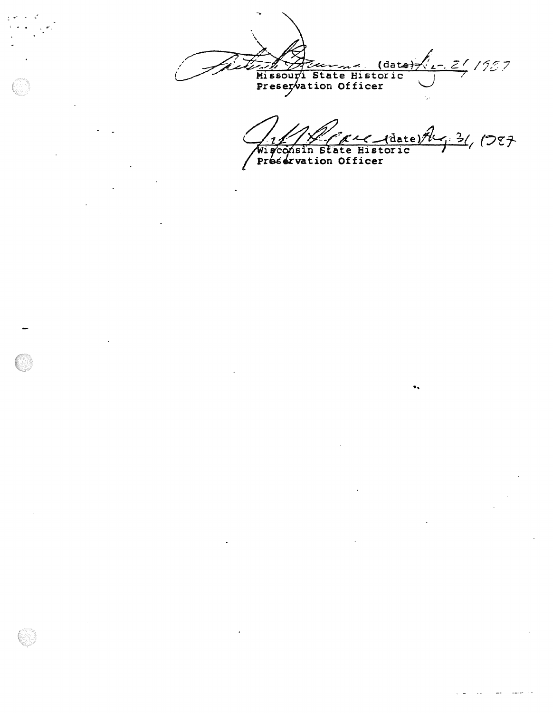Missouri State Historic<br>Preservation Officer<br>Preservation Officer

Wigconsin State Historic<br>Preservation Officer  $7.31/1007$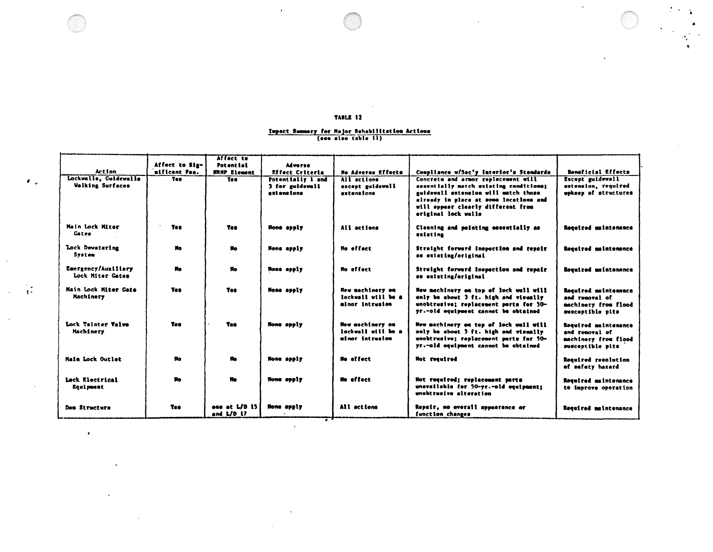#### **TABLE 12**

 $\sim$ 

 $\bar{\mathbf{r}}$ 

 $\bullet$ .

 $\mathbf{r}$ 

 $\ddot{\phantom{a}}$ 

 $\bullet$ 

 $\sim$ 

 $\ddot{\phantom{a}}$ 

 $\sim$  $\tilde{\bullet}$ 

# Impact Summary for Major Rehabilitation Actions<br>(een also table li)

|                                                  |                | Affect to                   |                                                    |                                                                  |                                                                                                                                                                                                                              |                                                                                           |
|--------------------------------------------------|----------------|-----------------------------|----------------------------------------------------|------------------------------------------------------------------|------------------------------------------------------------------------------------------------------------------------------------------------------------------------------------------------------------------------------|-------------------------------------------------------------------------------------------|
| <b>Action</b>                                    | Affect to Sig- | Potential                   | <b>Advorse</b>                                     |                                                                  |                                                                                                                                                                                                                              |                                                                                           |
|                                                  | aificant Pea.  | <b>NRNP Element</b>         | <b>Effect Criteria</b>                             | No Adverse Effects                                               | Compliance w/Sec'y Interior's Standards                                                                                                                                                                                      | Beneficial Effects                                                                        |
| Lockwalls, Guidewalls<br><b>Walking Surfaces</b> | <b>Tes</b>     | <b>Tes</b>                  | Potentially 1 and<br>3 for guidevall<br>extensions | All actions<br>except guidewall<br>extensions                    | Concrete and armor replacement will<br>essentially match existing conditions:<br>guidewall extension will match those<br>aiready in place at some locations and<br>will appear clearly different from<br>original lock walls | Except guidewall<br>extension, required<br>upkeep of structures                           |
| Main Lock Miter<br>Cates                         | Tea            | <b>Tes</b>                  | <b>None apply</b>                                  | All actions                                                      | Cleaning and pointing essentially as<br>ezieting                                                                                                                                                                             | Roaulred maintenance                                                                      |
| Lock Devatering<br>System                        | No             | No.                         | None apply                                         | <b>No offect</b>                                                 | Straight forward inapaction and repair<br>as existing/original                                                                                                                                                               | <b>Regulred maintenance</b>                                                               |
| Emergency/Auxiliary<br>Lock Miter Caten          | <b>No</b>      | No                          | None apply                                         | No effect                                                        | Straight forward inspection and repair<br>as existing/original                                                                                                                                                               | Required maintenance                                                                      |
| Main Lock Miter Cate<br>Machinery                | <b>Yes</b>     | Tee                         | None apply                                         | <b>New machinery on</b><br>lockwall will be a<br>minor intrusion | Wew machinery on top of lock wall will<br>only be showt 3 ft. high and visually<br>unobtrusive; replacement parts for 50-<br>yr.-old equipment cannot be obtained                                                            | Roguired maintenance<br>and removal of<br>machinery from flood<br>ausceptible pits        |
| Lock Tainter Valve<br><b>Hachinery</b>           | <b>Tes</b>     | <b>Tes</b>                  | <b>None apply</b>                                  | New machinery on<br>lockwall will be a<br>ainor intrusion        | New machinery on top of lock wall will<br>only be shout 3 ft. high and visually<br>unobtrusive; replacement parts for 50-<br>yr.-old equipment cannot be obtained                                                            | <b>Regulred</b> maintenance<br>and removal of<br>machinery from flood<br>susceptible pits |
| Mais Lock Outlet                                 | No.            | <b>No</b>                   | None apply                                         | <b>No effect</b>                                                 | Not required                                                                                                                                                                                                                 | Required resolution<br>of safety hazard                                                   |
| Lock Electrical<br><b>Equipment</b>              | No             | No                          | <b>None apply</b>                                  | <b>No offect</b>                                                 | Wot regulred; replacement parts<br>unavailable for 50-yr.-old equipment;<br>unobtruaive alteration                                                                                                                           | Reguired maintenance<br>to improve operation                                              |
| Dem Structure                                    | <b>Yes</b>     | one at L/D 15<br>and L/D 17 | None apply<br>77                                   | All actions                                                      | Repair, no overall appearance or<br>function changes                                                                                                                                                                         | Required maintenance                                                                      |

 $\ddot{\phantom{a}}$